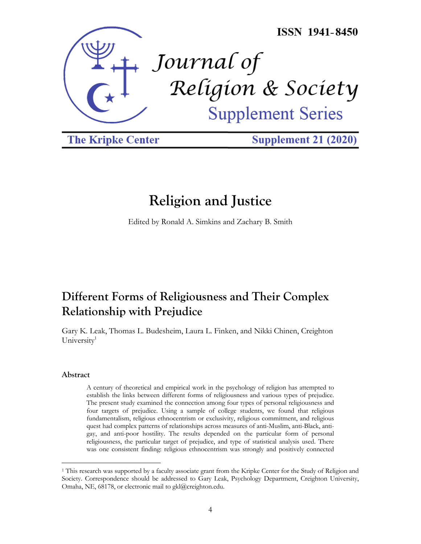

**The Kripke Center** 

**Supplement 21 (2020)** 

# **Religion and Justice**

Edited by Ronald A. Simkins and Zachary B. Smith

# **Different Forms of Religiousness and Their Complex Relationship with Prejudice**

Gary K. Leak, Thomas L. Budesheim, Laura L. Finken, and Nikki Chinen, Creighton University<sup>1</sup>

# **Abstract**

A century of theoretical and empirical work in the psychology of religion has attempted to establish the links between different forms of religiousness and various types of prejudice. The present study examined the connection among four types of personal religiousness and four targets of prejudice. Using a sample of college students, we found that religious fundamentalism, religious ethnocentrism or exclusivity, religious commitment, and religious quest had complex patterns of relationships across measures of anti-Muslim, anti-Black, antigay, and anti-poor hostility. The results depended on the particular form of personal religiousness, the particular target of prejudice, and type of statistical analysis used. There was one consistent finding: religious ethnocentrism was strongly and positively connected

<sup>&</sup>lt;sup>1</sup> This research was supported by a faculty associate grant from the Kripke Center for the Study of Religion and Society. Correspondence should be addressed to Gary Leak, Psychology Department, Creighton University, Omaha, NE, 68178, or electronic mail to gkl@creighton.edu.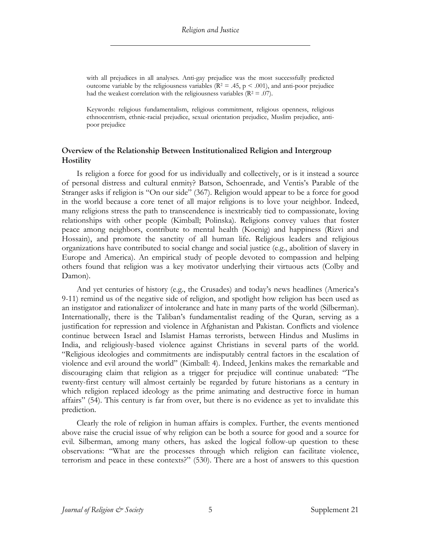with all prejudices in all analyses. Anti-gay prejudice was the most successfully predicted outcome variable by the religiousness variables ( $R^2 = .45$ ,  $p < .001$ ), and anti-poor prejudice had the weakest correlation with the religiousness variables ( $R^2 = .07$ ).

Keywords: religious fundamentalism, religious commitment, religious openness, religious ethnocentrism, ethnic-racial prejudice, sexual orientation prejudice, Muslim prejudice, antipoor prejudice

# **Overview of the Relationship Between Institutionalized Religion and Intergroup Hostility**

Is religion a force for good for us individually and collectively, or is it instead a source of personal distress and cultural enmity? Batson, Schoenrade, and Ventis's Parable of the Stranger asks if religion is "On our side" (367). Religion would appear to be a force for good in the world because a core tenet of all major religions is to love your neighbor. Indeed, many religions stress the path to transcendence is inextricably tied to compassionate, loving relationships with other people (Kimball; Polinska). Religions convey values that foster peace among neighbors, contribute to mental health (Koenig) and happiness (Rizvi and Hossain), and promote the sanctity of all human life. Religious leaders and religious organizations have contributed to social change and social justice (e.g., abolition of slavery in Europe and America). An empirical study of people devoted to compassion and helping others found that religion was a key motivator underlying their virtuous acts (Colby and Damon).

And yet centuries of history (e.g., the Crusades) and today's news headlines (America's 9-11) remind us of the negative side of religion, and spotlight how religion has been used as an instigator and rationalizer of intolerance and hate in many parts of the world (Silberman). Internationally, there is the Taliban's fundamentalist reading of the Quran, serving as a justification for repression and violence in Afghanistan and Pakistan. Conflicts and violence continue between Israel and Islamist Hamas terrorists, between Hindus and Muslims in India, and religiously-based violence against Christians in several parts of the world. "Religious ideologies and commitments are indisputably central factors in the escalation of violence and evil around the world" (Kimball: 4). Indeed, Jenkins makes the remarkable and discouraging claim that religion as a trigger for prejudice will continue unabated: "The twenty-first century will almost certainly be regarded by future historians as a century in which religion replaced ideology as the prime animating and destructive force in human affairs" (54). This century is far from over, but there is no evidence as yet to invalidate this prediction.

Clearly the role of religion in human affairs is complex. Further, the events mentioned above raise the crucial issue of why religion can be both a source for good and a source for evil. Silberman, among many others, has asked the logical follow-up question to these observations: "What are the processes through which religion can facilitate violence, terrorism and peace in these contexts?" (530). There are a host of answers to this question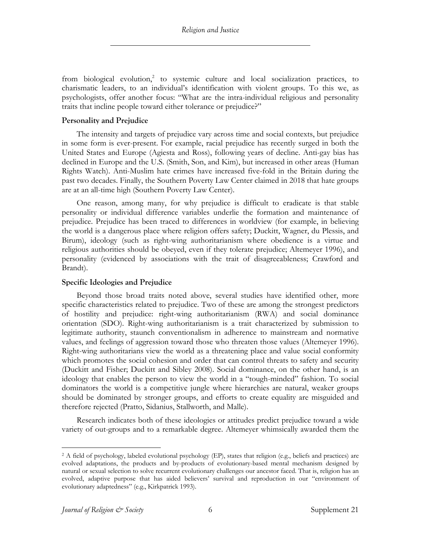from biological evolution,<sup>2</sup> to systemic culture and local socialization practices, to charismatic leaders, to an individual's identification with violent groups. To this we, as psychologists, offer another focus: "What are the intra-individual religious and personality traits that incline people toward either tolerance or prejudice?"

## **Personality and Prejudice**

The intensity and targets of prejudice vary across time and social contexts, but prejudice in some form is ever-present. For example, racial prejudice has recently surged in both the United States and Europe (Agiesta and Ross), following years of decline. Anti-gay bias has declined in Europe and the U.S. (Smith, Son, and Kim), but increased in other areas (Human Rights Watch). Anti-Muslim hate crimes have increased five-fold in the Britain during the past two decades. Finally, the Southern Poverty Law Center claimed in 2018 that hate groups are at an all-time high (Southern Poverty Law Center).

One reason, among many, for why prejudice is difficult to eradicate is that stable personality or individual difference variables underlie the formation and maintenance of prejudice. Prejudice has been traced to differences in worldview (for example, in believing the world is a dangerous place where religion offers safety; Duckitt, Wagner, du Plessis, and Birum), ideology (such as right-wing authoritarianism where obedience is a virtue and religious authorities should be obeyed, even if they tolerate prejudice; Altemeyer 1996), and personality (evidenced by associations with the trait of disagreeableness; Crawford and Brandt).

#### **Specific Ideologies and Prejudice**

Beyond those broad traits noted above, several studies have identified other, more specific characteristics related to prejudice. Two of these are among the strongest predictors of hostility and prejudice: right-wing authoritarianism (RWA) and social dominance orientation (SDO). Right-wing authoritarianism is a trait characterized by submission to legitimate authority, staunch conventionalism in adherence to mainstream and normative values, and feelings of aggression toward those who threaten those values (Altemeyer 1996). Right-wing authoritarians view the world as a threatening place and value social conformity which promotes the social cohesion and order that can control threats to safety and security (Duckitt and Fisher; Duckitt and Sibley 2008). Social dominance, on the other hand, is an ideology that enables the person to view the world in a "tough-minded" fashion. To social dominators the world is a competitive jungle where hierarchies are natural, weaker groups should be dominated by stronger groups, and efforts to create equality are misguided and therefore rejected (Pratto, Sidanius, Stallworth, and Malle).

Research indicates both of these ideologies or attitudes predict prejudice toward a wide variety of out-groups and to a remarkable degree. Altemeyer whimsically awarded them the

<sup>2</sup> A field of psychology, labeled evolutional psychology (EP), states that religion (e.g., beliefs and practices) are evolved adaptations, the products and by-products of evolutionary-based mental mechanism designed by natural or sexual selection to solve recurrent evolutionary challenges our ancestor faced. That is, religion has an evolved, adaptive purpose that has aided believers' survival and reproduction in our "environment of evolutionary adaptedness" (e.g., Kirkpatrick 1993).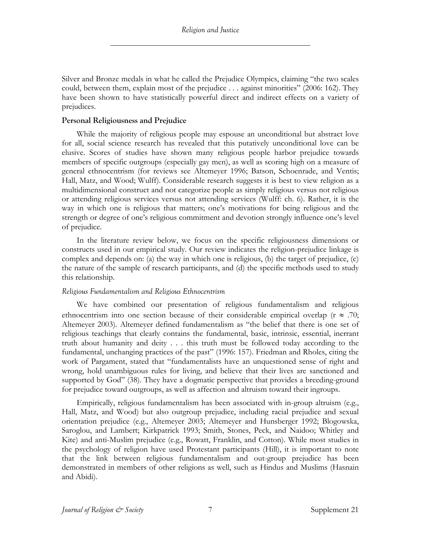Silver and Bronze medals in what he called the Prejudice Olympics, claiming "the two scales could, between them, explain most of the prejudice . . . against minorities" (2006: 162). They have been shown to have statistically powerful direct and indirect effects on a variety of prejudices.

## **Personal Religiousness and Prejudice**

While the majority of religious people may espouse an unconditional but abstract love for all, social science research has revealed that this putatively unconditional love can be elusive. Scores of studies have shown many religious people harbor prejudice towards members of specific outgroups (especially gay men), as well as scoring high on a measure of general ethnocentrism (for reviews see Altemeyer 1996; Batson, Schoenrade, and Ventis; Hall, Matz, and Wood; Wulff). Considerable research suggests it is best to view religion as a multidimensional construct and not categorize people as simply religious versus not religious or attending religious services versus not attending services (Wulff: ch. 6). Rather, it is the way in which one is religious that matters; one's motivations for being religious and the strength or degree of one's religious commitment and devotion strongly influence one's level of prejudice.

In the literature review below, we focus on the specific religiousness dimensions or constructs used in our empirical study. Our review indicates the religion-prejudice linkage is complex and depends on: (a) the way in which one is religious, (b) the target of prejudice, (c) the nature of the sample of research participants, and (d) the specific methods used to study this relationship.

# *Religious Fundamentalism and Religious Ethnocentrism*

We have combined our presentation of religious fundamentalism and religious ethnocentrism into one section because of their considerable empirical overlap ( $r \approx .70$ ; Altemeyer 2003). Altemeyer defined fundamentalism as "the belief that there is one set of religious teachings that clearly contains the fundamental, basic, intrinsic, essential, inerrant truth about humanity and deity . . . this truth must be followed today according to the fundamental, unchanging practices of the past" (1996: 157). Friedman and Rholes, citing the work of Pargament, stated that "fundamentalists have an unquestioned sense of right and wrong, hold unambiguous rules for living, and believe that their lives are sanctioned and supported by God" (38). They have a dogmatic perspective that provides a breeding-ground for prejudice toward outgroups, as well as affection and altruism toward their ingroups.

Empirically, religious fundamentalism has been associated with in-group altruism (e.g., Hall, Matz, and Wood) but also outgroup prejudice, including racial prejudice and sexual orientation prejudice (e.g., Altemeyer 2003; Altemeyer and Hunsberger 1992; Blogowska, Saroglou, and Lambert; Kirkpatrick 1993; Smith, Stones, Peck, and Naidoo; Whitley and Kite) and anti-Muslim prejudice (e.g., Rowatt, Franklin, and Cotton). While most studies in the psychology of religion have used Protestant participants (Hill), it is important to note that the link between religious fundamentalism and out-group prejudice has been demonstrated in members of other religions as well, such as Hindus and Muslims (Hasnain and Abidi).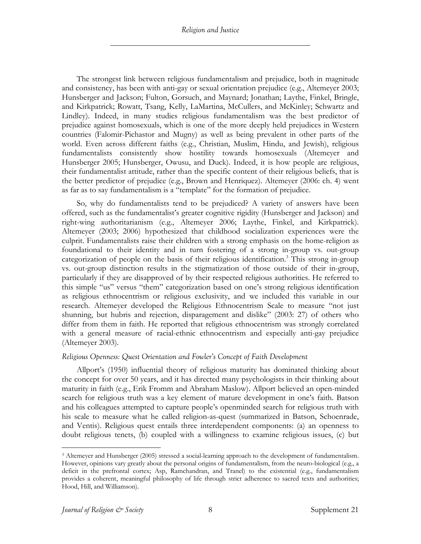The strongest link between religious fundamentalism and prejudice, both in magnitude and consistency, has been with anti-gay or sexual orientation prejudice (e.g., Altemeyer 2003; Hunsberger and Jackson; Fulton, Gorsuch, and Maynard; Jonathan; Laythe, Finkel, Bringle, and Kirkpatrick; Rowatt, Tsang, Kelly, LaMartina, McCullers, and McKinley; Schwartz and Lindley). Indeed, in many studies religious fundamentalism was the best predictor of prejudice against homosexuals, which is one of the more deeply held prejudices in Western countries (Falomir-Pichastor and Mugny) as well as being prevalent in other parts of the world. Even across different faiths (e.g., Christian, Muslim, Hindu, and Jewish), religious fundamentalists consistently show hostility towards homosexuals (Altemeyer and Hunsberger 2005; Hunsberger, Owusu, and Duck). Indeed, it is how people are religious, their fundamentalist attitude, rather than the specific content of their religious beliefs, that is the better predictor of prejudice (e.g., Brown and Henriquez). Altemeyer (2006: ch. 4) went as far as to say fundamentalism is a "template" for the formation of prejudice.

So, why do fundamentalists tend to be prejudiced? A variety of answers have been offered, such as the fundamentalist's greater cognitive rigidity (Hunsberger and Jackson) and right-wing authoritarianism (e.g., Altemeyer 2006; Laythe, Finkel, and Kirkpatrick). Altemeyer (2003; 2006) hypothesized that childhood socialization experiences were the culprit. Fundamentalists raise their children with a strong emphasis on the home-religion as foundational to their identity and in turn fostering of a strong in-group vs. out-group categorization of people on the basis of their religious identification. <sup>3</sup> This strong in-group vs. out-group distinction results in the stigmatization of those outside of their in-group, particularly if they are disapproved of by their respected religious authorities. He referred to this simple "us" versus "them" categorization based on one's strong religious identification as religious ethnocentrism or religious exclusivity, and we included this variable in our research. Altemeyer developed the Religious Ethnocentrism Scale to measure "not just shunning, but hubris and rejection, disparagement and dislike" (2003: 27) of others who differ from them in faith. He reported that religious ethnocentrism was strongly correlated with a general measure of racial-ethnic ethnocentrism and especially anti-gay prejudice (Altemeyer 2003).

## *Religious Openness: Quest Orientation and Fowler's Concept of Faith Development*

Allport's (1950) influential theory of religious maturity has dominated thinking about the concept for over 50 years, and it has directed many psychologists in their thinking about maturity in faith (e.g., Erik Fromm and Abraham Maslow). Allport believed an open-minded search for religious truth was a key element of mature development in one's faith. Batson and his colleagues attempted to capture people's openminded search for religious truth with his scale to measure what he called religion-as-quest (summarized in Batson, Schoenrade, and Ventis). Religious quest entails three interdependent components: (a) an openness to doubt religious tenets, (b) coupled with a willingness to examine religious issues, (c) but

<sup>3</sup> Altemeyer and Hunsberger (2005) stressed a social-learning approach to the development of fundamentalism. However, opinions vary greatly about the personal origins of fundamentalism, from the neuro-biological (e.g., a deficit in the prefrontal cortex; Asp, Ramchandran, and Tranel) to the existential (e.g., fundamentalism provides a coherent, meaningful philosophy of life through strict adherence to sacred texts and authorities; Hood, Hill, and Williamson).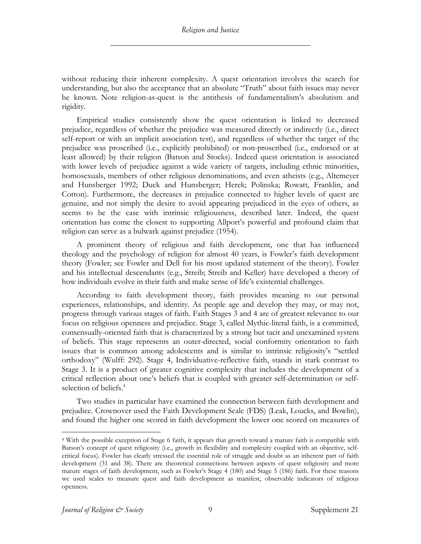without reducing their inherent complexity. A quest orientation involves the search for understanding, but also the acceptance that an absolute "Truth" about faith issues may never be known. Note religion-as-quest is the antithesis of fundamentalism's absolutism and rigidity.

Empirical studies consistently show the quest orientation is linked to decreased prejudice, regardless of whether the prejudice was measured directly or indirectly (i.e., direct self-report or with an implicit association test), and regardless of whether the target of the prejudice was proscribed (i.e., explicitly prohibited) or non-proscribed (i.e., endorsed or at least allowed) by their religion (Batson and Stocks). Indeed quest orientation is associated with lower levels of prejudice against a wide variety of targets, including ethnic minorities, homosexuals, members of other religious denominations, and even atheists (e.g., Altemeyer and Hunsberger 1992; Duck and Hunsberger; Herek; Polinska; Rowatt, Franklin, and Cotton). Furthermore, the decreases in prejudice connected to higher levels of quest are genuine, and not simply the desire to avoid appearing prejudiced in the eyes of others, as seems to be the case with intrinsic religiousness, described later. Indeed, the quest orientation has come the closest to supporting Allport's powerful and profound claim that religion can serve as a bulwark against prejudice (1954).

A prominent theory of religious and faith development, one that has influenced theology and the psychology of religion for almost 40 years, is Fowler's faith development theory (Fowler; see Fowler and Dell for his most updated statement of the theory). Fowler and his intellectual descendants (e.g., Streib; Streib and Keller) have developed a theory of how individuals evolve in their faith and make sense of life's existential challenges.

According to faith development theory, faith provides meaning to our personal experiences, relationships, and identity. As people age and develop they may, or may not, progress through various stages of faith. Faith Stages 3 and 4 are of greatest relevance to our focus on religious openness and prejudice. Stage 3, called Mythic-literal faith, is a committed, consensually-oriented faith that is characterized by a strong but tacit and unexamined system of beliefs. This stage represents an outer-directed, social conformity orientation to faith issues that is common among adolescents and is similar to intrinsic religiosity's "settled orthodoxy" (Wulff: 292). Stage 4, Individuative-reflective faith, stands in stark contrast to Stage 3. It is a product of greater cognitive complexity that includes the development of a critical reflection about one's beliefs that is coupled with greater self-determination or selfselection of beliefs.<sup>4</sup>

Two studies in particular have examined the connection between faith development and prejudice. Crownover used the Faith Development Scale (FDS) (Leak, Loucks, and Bowlin), and found the higher one scored in faith development the lower one scored on measures of

<sup>4</sup> With the possible exception of Stage 6 faith, it appears that growth toward a mature faith is compatible with Batson's concept of quest religiosity (i.e., growth in flexibility and complexity coupled with an objective, selfcritical focus). Fowler has clearly stressed the essential role of struggle and doubt as an inherent part of faith development (31 and 38). There are theoretical connections between aspects of quest religiosity and more mature stages of faith development, such as Fowler's Stage 4 (180) and Stage 5 (186) faith. For these reasons we used scales to measure quest and faith development as manifest, observable indicators of religious openness.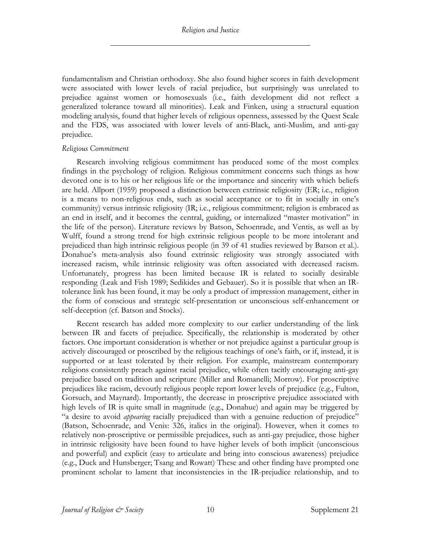fundamentalism and Christian orthodoxy. She also found higher scores in faith development were associated with lower levels of racial prejudice, but surprisingly was unrelated to prejudice against women or homosexuals (i.e., faith development did not reflect a generalized tolerance toward all minorities). Leak and Finken, using a structural equation modeling analysis, found that higher levels of religious openness, assessed by the Quest Scale and the FDS, was associated with lower levels of anti-Black, anti-Muslim, and anti-gay prejudice.

## *Religious Commitment*

Research involving religious commitment has produced some of the most complex findings in the psychology of religion. Religious commitment concerns such things as how devoted one is to his or her religious life or the importance and sincerity with which beliefs are held. Allport (1959) proposed a distinction between extrinsic religiosity (ER; i.e., religion is a means to non-religious ends, such as social acceptance or to fit in socially in one's community) versus intrinsic religiosity (IR; i.e., religious commitment; religion is embraced as an end in itself, and it becomes the central, guiding, or internalized "master motivation" in the life of the person). Literature reviews by Batson, Schoenrade, and Ventis, as well as by Wulff, found a strong trend for high extrinsic religious people to be more intolerant and prejudiced than high intrinsic religious people (in 39 of 41 studies reviewed by Batson et al.). Donahue's meta-analysis also found extrinsic religiosity was strongly associated with increased racism, while intrinsic religiosity was often associated with decreased racism. Unfortunately, progress has been limited because IR is related to socially desirable responding (Leak and Fish 1989; Sedikides and Gebauer). So it is possible that when an IRtolerance link has been found, it may be only a product of impression management, either in the form of conscious and strategic self-presentation or unconscious self-enhancement or self-deception (cf. Batson and Stocks).

Recent research has added more complexity to our earlier understanding of the link between IR and facets of prejudice. Specifically, the relationship is moderated by other factors. One important consideration is whether or not prejudice against a particular group is actively discouraged or proscribed by the religious teachings of one's faith, or if, instead, it is supported or at least tolerated by their religion. For example, mainstream contemporary religions consistently preach against racial prejudice, while often tacitly encouraging anti-gay prejudice based on tradition and scripture (Miller and Romanelli; Morrow). For proscriptive prejudices like racism, devoutly religious people report lower levels of prejudice (e.g., Fulton, Gorsuch, and Maynard). Importantly, the decrease in proscriptive prejudice associated with high levels of IR is quite small in magnitude (e.g., Donahue) and again may be triggered by "a desire to avoid *appearing* racially prejudiced than with a genuine reduction of prejudice" (Batson, Schoenrade, and Venis: 326, italics in the original). However, when it comes to relatively non-proscriptive or permissible prejudices, such as anti-gay prejudice, those higher in intrinsic religiosity have been found to have higher levels of both implicit (unconscious and powerful) and explicit (easy to articulate and bring into conscious awareness) prejudice (e.g., Duck and Hunsberger; Tsang and Rowatt) . These and other finding have prompted one prominent scholar to lament that inconsistencies in the IR-prejudice relationship, and to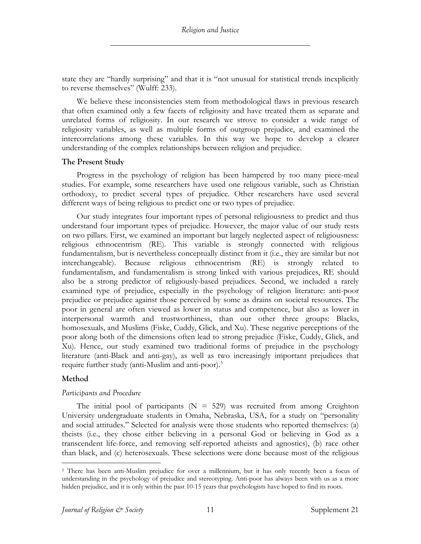state they are "hardly surprising" and that it is "not unusual for statistical trends inexplicitly to reverse themselves" (Wulff: 233).

We believe these inconsistencies stem from methodological flaws in previous research that often examined only a few facets of religiosity and have treated them as separate and unrelated forms of religiosity. In our research we strove to consider a wide range of religiosity variables, as well as multiple forms of outgroup prejudice, and examined the intercorrelations among these variables. In this way we hope to develop a clearer understanding of the complex relationships between religion and prejudice.

## **The Present Study**

Progress in the psychology of religion has been hampered by too many piece-meal studies. For example, some researchers have used one religious variable, such as Christian orthodoxy, to predict several types of prejudice. Other researchers have used several different ways of being religious to predict one or two types of prejudice.

Our study integrates four important types of personal religiousness to predict and thus understand four important types of prejudice. However, the major value of our study rests on two pillars. First, we examined an important but largely neglected aspect of religiousness: religious ethnocentrism (RE). This variable is strongly connected with religious fundamentalism, but is nevertheless conceptually distinct from it (i.e., they are similar but not interchangeable). Because religious ethnocentrism (RE) is strongly related to fundamentalism, and fundamentalism is strong linked with various prejudices, RE should also be a strong predictor of religiously-based prejudices. Second, we included a rarely examined type of prejudice, especially in the psychology of religion literature: anti-poor prejudice or prejudice against those perceived by some as drains on societal resources. The poor in general are often viewed as lower in status and competence, but also as lower in interpersonal warmth and trustworthiness, than our other three groups: Blacks, homosexuals, and Muslims (Fiske, Cuddy, Glick, and Xu). These negative perceptions of the poor along both of the dimensions often lead to strong prejudice (Fiske, Cuddy, Glick, and Xu). Hence, our study examined two traditional forms of prejudice in the psychology literature (anti-Black and anti-gay), as well as two increasingly important prejudices that require further study (anti-Muslim and anti-poor).<sup>5</sup>

# **Method**

# *Participants and Procedure*

The initial pool of participants ( $N = 529$ ) was recruited from among Creighton University undergraduate students in Omaha, Nebraska, USA, for a study on "personality and social attitudes." Selected for analysis were those students who reported themselves: (a) theists (i.e., they chose either believing in a personal God or believing in God as a transcendent life-force, and removing self-reported atheists and agnostics), (b) race other than black, and (c) heterosexuals. These selections were done because most of the religious

<sup>&</sup>lt;sup>5</sup> There has been anti-Muslim prejudice for over a millennium, but it has only recently been a focus of understanding in the psychology of prejudice and stereotyping. Anti-poor has always been with us as a more hidden prejudice, and it is only within the past 10-15 years that psychologists have hoped to find its roots.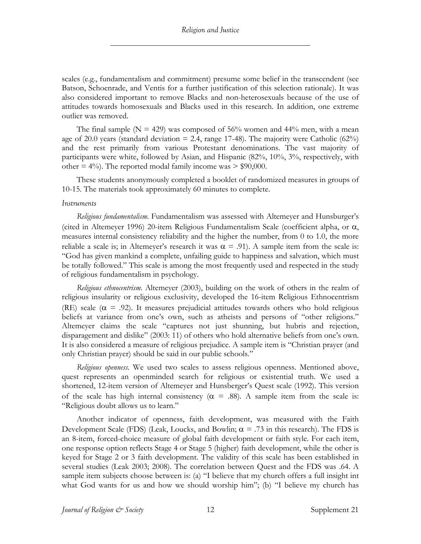scales (e.g., fundamentalism and commitment) presume some belief in the transcendent (see Batson, Schoenrade, and Ventis for a further justification of this selection rationale). It was also considered important to remove Blacks and non-heterosexuals because of the use of attitudes towards homosexuals and Blacks used in this research. In addition, one extreme outlier was removed.

The final sample ( $N = 429$ ) was composed of 56% women and 44% men, with a mean age of 20.0 years (standard deviation = 2.4, range 17-48). The majority were Catholic (62%) and the rest primarily from various Protestant denominations. The vast majority of participants were white, followed by Asian, and Hispanic (82%, 10%, 3%, respectively, with other  $= 4\%$ ). The reported modal family income was  $> $90,000$ .

These students anonymously completed a booklet of randomized measures in groups of 10-15. The materials took approximately 60 minutes to complete.

#### *Instruments*

*Religious fundamentalism*. Fundamentalism was assessed with Altemeyer and Hunsburger's (cited in Altemeyer 1996) 20-item Religious Fundamentalism Scale (coefficient alpha, or a, measures internal consistency reliability and the higher the number, from 0 to 1.0, the more reliable a scale is; in Altemeyer's research it was  $\alpha = .91$ ). A sample item from the scale is: "God has given mankind a complete, unfailing guide to happiness and salvation, which must be totally followed." This scale is among the most frequently used and respected in the study of religious fundamentalism in psychology.

*Religious ethnocentrism*. Altemeyer (2003), building on the work of others in the realm of religious insularity or religious exclusivity, developed the 16-item Religious Ethnocentrism (RE) scale ( $\alpha$  = .92). It measures prejudicial attitudes towards others who hold religious beliefs at variance from one's own, such as atheists and persons of "other religions." Altemeyer claims the scale "captures not just shunning, but hubris and rejection, disparagement and dislike" (2003: 11) of others who hold alternative beliefs from one's own. It is also considered a measure of religious prejudice. A sample item is "Christian prayer (and only Christian prayer) should be said in our public schools."

*Religious openness*. We used two scales to assess religious openness. Mentioned above, quest represents an openminded search for religious or existential truth. We used a shortened, 12-item version of Altemeyer and Hunsberger's Quest scale (1992). This version of the scale has high internal consistency ( $\alpha$  = .88). A sample item from the scale is: "Religious doubt allows us to learn."

Another indicator of openness, faith development, was measured with the Faith Development Scale (FDS) (Leak, Loucks, and Bowlin;  $\alpha = .73$  in this research). The FDS is an 8-item, forced-choice measure of global faith development or faith style. For each item, one response option reflects Stage 4 or Stage 5 (higher) faith development, while the other is keyed for Stage 2 or 3 faith development. The validity of this scale has been established in several studies (Leak 2003; 2008). The correlation between Quest and the FDS was .64. A sample item subjects choose between is: (a) "I believe that my church offers a full insight int what God wants for us and how we should worship him"; (b) "I believe my church has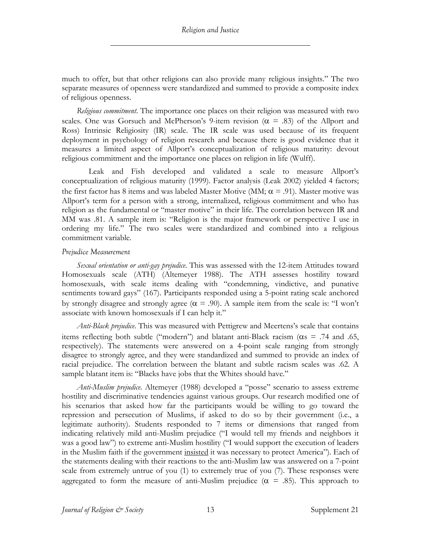much to offer, but that other religions can also provide many religious insights." The two separate measures of openness were standardized and summed to provide a composite index of religious openness.

*Religious commitment*. The importance one places on their religion was measured with two scales. One was Gorsuch and McPherson's 9-item revision ( $\alpha$  = .83) of the Allport and Ross) Intrinsic Religiosity (IR) scale. The IR scale was used because of its frequent deployment in psychology of religion research and because there is good evidence that it measures a limited aspect of Allport's conceptualization of religious maturity: devout religious commitment and the importance one places on religion in life (Wulff).

Leak and Fish developed and validated a scale to measure Allport's conceptualization of religious maturity (1999). Factor analysis (Leak 2002) yielded 4 factors; the first factor has 8 items and was labeled Master Motive (MM;  $\alpha$  = .91). Master motive was Allport's term for a person with a strong, internalized, religious commitment and who has religion as the fundamental or "master motive" in their life. The correlation between IR and MM was .81. A sample item is: "Religion is the major framework or perspective I use in ordering my life." The two scales were standardized and combined into a religious commitment variable.

## *Prejudice Measurement*

*Sexual orientation or anti-gay prejudice*. This was assessed with the 12-item Attitudes toward Homosexuals scale (ATH) (Altemeyer 1988). The ATH assesses hostility toward homosexuals, with scale items dealing with "condemning, vindictive, and punative sentiments toward gays" (167). Participants responded using a 5-point rating scale anchored by strongly disagree and strongly agree ( $\alpha$  = .90). A sample item from the scale is: "I won't associate with known homosexuals if I can help it."

*Anti-Black prejudice*. This was measured with Pettigrew and Meertens's scale that contains items reflecting both subtle ("modern") and blatant anti-Black racism ( $\alpha$ s = .74 and .65, respectively). The statements were answered on a 4-point scale ranging from strongly disagree to strongly agree, and they were standardized and summed to provide an index of racial prejudice. The correlation between the blatant and subtle racism scales was .62. A sample blatant item is: "Blacks have jobs that the Whites should have."

*Anti-Muslim prejudice*. Altemeyer (1988) developed a "posse" scenario to assess extreme hostility and discriminative tendencies against various groups. Our research modified one of his scenarios that asked how far the participants would be willing to go toward the repression and persecution of Muslims, if asked to do so by their government (i.e., a legitimate authority). Students responded to 7 items or dimensions that ranged from indicating relatively mild anti-Muslim prejudice ("I would tell my friends and neighbors it was a good law") to extreme anti-Muslim hostility ("I would support the execution of leaders in the Muslim faith if the government insisted it was necessary to protect America"). Each of the statements dealing with their reactions to the anti-Muslim law was answered on a 7-point scale from extremely untrue of you (1) to extremely true of you (7). These responses were aggregated to form the measure of anti-Muslim prejudice ( $\alpha$  = .85). This approach to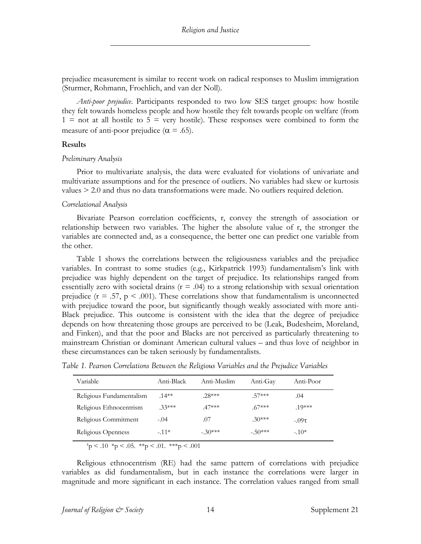prejudice measurement is similar to recent work on radical responses to Muslim immigration (Sturmer, Rohmann, Froehlich, and van der Noll).

*Anti-poor prejudice*. Participants responded to two low SES target groups: how hostile they felt towards homeless people and how hostile they felt towards people on welfare (from  $1 =$  not at all hostile to  $5 =$  very hostile). These responses were combined to form the measure of anti-poor prejudice ( $\alpha$  = .65).

#### **Results**

#### *Preliminary Analysis*

Prior to multivariate analysis, the data were evaluated for violations of univariate and multivariate assumptions and for the presence of outliers. No variables had skew or kurtosis values > 2.0 and thus no data transformations were made. No outliers required deletion.

#### *Correlational Analysis*

Bivariate Pearson correlation coefficients, r, convey the strength of association or relationship between two variables. The higher the absolute value of r, the stronger the variables are connected and, as a consequence, the better one can predict one variable from the other.

Table 1 shows the correlations between the religiousness variables and the prejudice variables. In contrast to some studies (e.g., Kirkpatrick 1993) fundamentalism's link with prejudice was highly dependent on the target of prejudice. Its relationships ranged from essentially zero with societal drains  $(r = .04)$  to a strong relationship with sexual orientation prejudice ( $r = .57$ ,  $p \le .001$ ). These correlations show that fundamentalism is unconnected with prejudice toward the poor, but significantly though weakly associated with more anti-Black prejudice. This outcome is consistent with the idea that the degree of prejudice depends on how threatening those groups are perceived to be (Leak, Budesheim, Moreland, and Finken), and that the poor and Blacks are not perceived as particularly threatening to mainstream Christian or dominant American cultural values – and thus love of neighbor in these circumstances can be taken seriously by fundamentalists.

*Table 1. Pearson Correlations Between the Religious Variables and the Prejudice Variables*

| Variable                 | Anti-Black | Anti-Muslim | Anti-Gay | Anti-Poor  |
|--------------------------|------------|-------------|----------|------------|
| Religious Fundamentalism | $.14**$    | $28***$     | 57***    | .04        |
| Religious Ethnocentrism  | $33***$    | $47***$     | $.67***$ | $.10***$   |
| Religious Commitment     | $-.04$     | .07         | $.30***$ | $-.09\tau$ |
| Religious Openness       | $-11*$     | $-30***$    | $-50***$ | $-.10*$    |

 $\tau_p$  < .10  $\tau_p$  < .05.  $\ast\tau_p$  < .01.  $\ast\ast\tau_p$  < .001

Religious ethnocentrism (RE) had the same pattern of correlations with prejudice variables as did fundamentalism, but in each instance the correlations were larger in magnitude and more significant in each instance. The correlation values ranged from small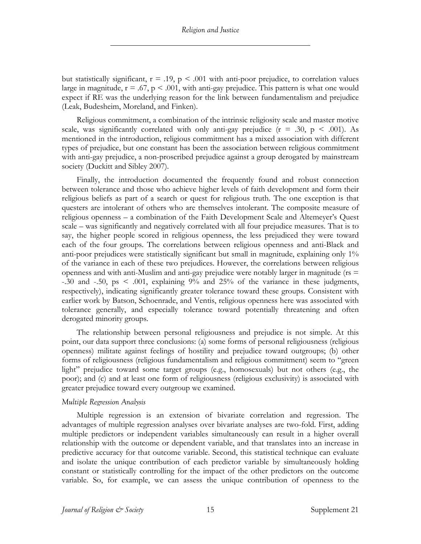but statistically significant,  $r = .19$ ,  $p < .001$  with anti-poor prejudice, to correlation values large in magnitude,  $r = .67$ ,  $p < .001$ , with anti-gay prejudice. This pattern is what one would expect if RE was the underlying reason for the link between fundamentalism and prejudice (Leak, Budesheim, Moreland, and Finken).

Religious commitment, a combination of the intrinsic religiosity scale and master motive scale, was significantly correlated with only anti-gay prejudice  $(r = .30, p < .001)$ . As mentioned in the introduction, religious commitment has a mixed association with different types of prejudice, but one constant has been the association between religious commitment with anti-gay prejudice, a non-proscribed prejudice against a group derogated by mainstream society (Duckitt and Sibley 2007).

Finally, the introduction documented the frequently found and robust connection between tolerance and those who achieve higher levels of faith development and form their religious beliefs as part of a search or quest for religious truth. The one exception is that questers are intolerant of others who are themselves intolerant. The composite measure of religious openness – a combination of the Faith Development Scale and Altemeyer's Quest scale – was significantly and negatively correlated with all four prejudice measures. That is to say, the higher people scored in religious openness, the less prejudiced they were toward each of the four groups. The correlations between religious openness and anti-Black and anti-poor prejudices were statistically significant but small in magnitude, explaining only 1% of the variance in each of these two prejudices. However, the correlations between religious openness and with anti-Muslim and anti-gay prejudice were notably larger in magnitude ( $rs =$ -.30 and -.50, ps < .001, explaining 9% and 25% of the variance in these judgments, respectively), indicating significantly greater tolerance toward these groups. Consistent with earlier work by Batson, Schoenrade, and Ventis, religious openness here was associated with tolerance generally, and especially tolerance toward potentially threatening and often derogated minority groups.

The relationship between personal religiousness and prejudice is not simple. At this point, our data support three conclusions: (a) some forms of personal religiousness (religious openness) militate against feelings of hostility and prejudice toward outgroups; (b) other forms of religiousness (religious fundamentalism and religious commitment) seem to "green light" prejudice toward some target groups (e.g., homosexuals) but not others (e.g., the poor); and (c) and at least one form of religiousness (religious exclusivity) is associated with greater prejudice toward every outgroup we examined.

## *Multiple Regression Analysis*

Multiple regression is an extension of bivariate correlation and regression. The advantages of multiple regression analyses over bivariate analyses are two-fold. First, adding multiple predictors or independent variables simultaneously can result in a higher overall relationship with the outcome or dependent variable, and that translates into an increase in predictive accuracy for that outcome variable. Second, this statistical technique can evaluate and isolate the unique contribution of each predictor variable by simultaneously holding constant or statistically controlling for the impact of the other predictors on the outcome variable. So, for example, we can assess the unique contribution of openness to the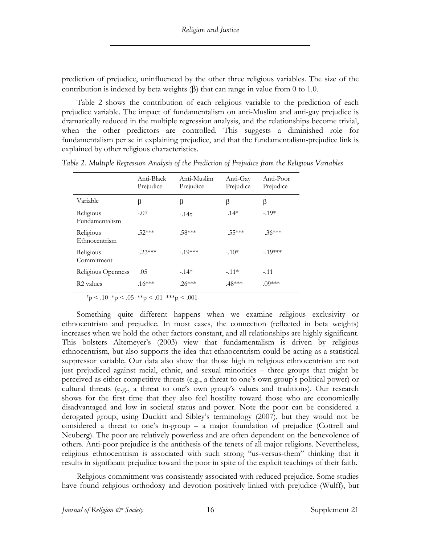prediction of prejudice, uninfluenced by the other three religious variables. The size of the contribution is indexed by beta weights  $(\beta)$  that can range in value from 0 to 1.0.

Table 2 shows the contribution of each religious variable to the prediction of each prejudice variable. The impact of fundamentalism on anti-Muslim and anti-gay prejudice is dramatically reduced in the multiple regression analysis, and the relationships become trivial, when the other predictors are controlled. This suggests a diminished role for fundamentalism per se in explaining prejudice, and that the fundamentalism-prejudice link is explained by other religious characteristics.

|                                    | Anti-Black<br>Prejudice | Anti-Muslim<br>Prejudice | Anti-Gay<br>Prejudice | Anti-Poor<br>Prejudice |
|------------------------------------|-------------------------|--------------------------|-----------------------|------------------------|
| Variable                           | β                       | β                        | β                     | β                      |
| Religious<br><b>Fundamentalism</b> | $-.07$                  | $-14\tau$                | $.14*$                | $-.19*$                |
| Religious<br>Ethnocentrism         | $.52***$                | $.58***$                 | .55***                | $.36***$               |
| Religious<br>Commitment            | $-23***$                | $-19***$                 | $-.10*$               | $-19***$               |
| Religious Openness                 | .05                     | $-.14*$                  | $-.11*$               | $-.11$                 |
| R <sub>2</sub> values              | $.16***$                | $.26***$                 | $.48***$              | $.09***$               |

*Table 2. Multiple Regression Analysis of the Prediction of Prejudice from the Religious Variables*

 $\tau_p$  < .10  $\gamma_p$  < .05  $\gamma_p$  < .01  $\gamma_p$  < .001

Something quite different happens when we examine religious exclusivity or ethnocentrism and prejudice. In most cases, the connection (reflected in beta weights) increases when we hold the other factors constant, and all relationships are highly significant. This bolsters Altemeyer's (2003) view that fundamentalism is driven by religious ethnocentrism, but also supports the idea that ethnocentrism could be acting as a statistical suppressor variable. Our data also show that those high in religious ethnocentrism are not just prejudiced against racial, ethnic, and sexual minorities – three groups that might be perceived as either competitive threats (e.g., a threat to one's own group's political power) or cultural threats (e.g., a threat to one's own group's values and traditions). Our research shows for the first time that they also feel hostility toward those who are economically disadvantaged and low in societal status and power. Note the poor can be considered a derogated group, using Duckitt and Sibley's terminology (2007), but they would not be considered a threat to one's in-group – a major foundation of prejudice (Cottrell and Neuberg). The poor are relatively powerless and are often dependent on the benevolence of others. Anti-poor prejudice is the antithesis of the tenets of all major religions. Nevertheless, religious ethnocentrism is associated with such strong "us-versus-them" thinking that it results in significant prejudice toward the poor in spite of the explicit teachings of their faith.

Religious commitment was consistently associated with reduced prejudice. Some studies have found religious orthodoxy and devotion positively linked with prejudice (Wulff), but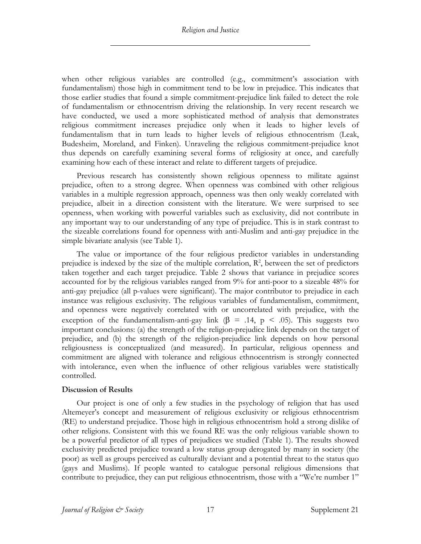when other religious variables are controlled (e.g., commitment's association with fundamentalism) those high in commitment tend to be low in prejudice. This indicates that those earlier studies that found a simple commitment-prejudice link failed to detect the role of fundamentalism or ethnocentrism driving the relationship. In very recent research we have conducted, we used a more sophisticated method of analysis that demonstrates religious commitment increases prejudice only when it leads to higher levels of fundamentalism that in turn leads to higher levels of religious ethnocentrism (Leak, Budesheim, Moreland, and Finken). Unraveling the religious commitment-prejudice knot thus depends on carefully examining several forms of religiosity at once, and carefully examining how each of these interact and relate to different targets of prejudice.

Previous research has consistently shown religious openness to militate against prejudice, often to a strong degree. When openness was combined with other religious variables in a multiple regression approach, openness was then only weakly correlated with prejudice, albeit in a direction consistent with the literature. We were surprised to see openness, when working with powerful variables such as exclusivity, did not contribute in any important way to our understanding of any type of prejudice. This is in stark contrast to the sizeable correlations found for openness with anti-Muslim and anti-gay prejudice in the simple bivariate analysis (see Table 1).

The value or importance of the four religious predictor variables in understanding prejudice is indexed by the size of the multiple correlation,  $\mathbb{R}^2$ , between the set of predictors taken together and each target prejudice. Table 2 shows that variance in prejudice scores accounted for by the religious variables ranged from 9% for anti-poor to a sizeable 48% for anti-gay prejudice (all p-values were significant). The major contributor to prejudice in each instance was religious exclusivity. The religious variables of fundamentalism, commitment, and openness were negatively correlated with or uncorrelated with prejudice, with the exception of the fundamentalism-anti-gay link ( $\beta$  = .14,  $p$  < .05). This suggests two important conclusions: (a) the strength of the religion-prejudice link depends on the target of prejudice, and (b) the strength of the religion-prejudice link depends on how personal religiousness is conceptualized (and measured). In particular, religious openness and commitment are aligned with tolerance and religious ethnocentrism is strongly connected with intolerance, even when the influence of other religious variables were statistically controlled.

# **Discussion of Results**

Our project is one of only a few studies in the psychology of religion that has used Altemeyer's concept and measurement of religious exclusivity or religious ethnocentrism (RE) to understand prejudice. Those high in religious ethnocentrism hold a strong dislike of other religions. Consistent with this we found RE was the only religious variable shown to be a powerful predictor of all types of prejudices we studied (Table 1). The results showed exclusivity predicted prejudice toward a low status group derogated by many in society (the poor) as well as groups perceived as culturally deviant and a potential threat to the status quo (gays and Muslims). If people wanted to catalogue personal religious dimensions that contribute to prejudice, they can put religious ethnocentrism, those with a "We're number 1"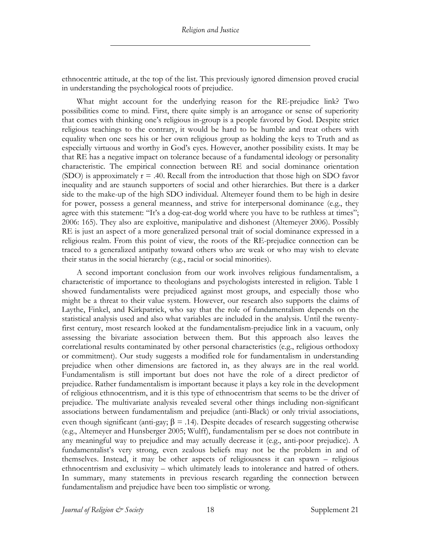ethnocentric attitude, at the top of the list. This previously ignored dimension proved crucial in understanding the psychological roots of prejudice.

What might account for the underlying reason for the RE-prejudice link? Two possibilities come to mind. First, there quite simply is an arrogance or sense of superiority that comes with thinking one's religious in-group is a people favored by God. Despite strict religious teachings to the contrary, it would be hard to be humble and treat others with equality when one sees his or her own religious group as holding the keys to Truth and as especially virtuous and worthy in God's eyes. However, another possibility exists. It may be that RE has a negative impact on tolerance because of a fundamental ideology or personality characteristic. The empirical connection between RE and social dominance orientation (SDO) is approximately  $r = .40$ . Recall from the introduction that those high on SDO favor inequality and are staunch supporters of social and other hierarchies. But there is a darker side to the make-up of the high SDO individual. Altemeyer found them to be high in desire for power, possess a general meanness, and strive for interpersonal dominance (e.g., they agree with this statement: "It's a dog-eat-dog world where you have to be ruthless at times"; 2006: 165). They also are exploitive, manipulative and dishonest (Altemeyer 2006). Possibly RE is just an aspect of a more generalized personal trait of social dominance expressed in a religious realm. From this point of view, the roots of the RE-prejudice connection can be traced to a generalized antipathy toward others who are weak or who may wish to elevate their status in the social hierarchy (e.g., racial or social minorities).

A second important conclusion from our work involves religious fundamentalism, a characteristic of importance to theologians and psychologists interested in religion. Table 1 showed fundamentalists were prejudiced against most groups, and especially those who might be a threat to their value system. However, our research also supports the claims of Laythe, Finkel, and Kirkpatrick, who say that the role of fundamentalism depends on the statistical analysis used and also what variables are included in the analysis. Until the twentyfirst century, most research looked at the fundamentalism-prejudice link in a vacuum, only assessing the bivariate association between them. But this approach also leaves the correlational results contaminated by other personal characteristics (e.g., religious orthodoxy or commitment). Our study suggests a modified role for fundamentalism in understanding prejudice when other dimensions are factored in, as they always are in the real world. Fundamentalism is still important but does not have the role of a direct predictor of prejudice. Rather fundamentalism is important because it plays a key role in the development of religious ethnocentrism, and it is this type of ethnocentrism that seems to be the driver of prejudice. The multivariate analysis revealed several other things including non-significant associations between fundamentalism and prejudice (anti-Black) or only trivial associations, even though significant (anti-gay;  $\beta = .14$ ). Despite decades of research suggesting otherwise (e.g., Altemeyer and Hunsberger 2005; Wulff), fundamentalism per se does not contribute in any meaningful way to prejudice and may actually decrease it (e.g., anti-poor prejudice). A fundamentalist's very strong, even zealous beliefs may not be the problem in and of themselves. Instead, it may be other aspects of religiousness it can spawn – religious ethnocentrism and exclusivity – which ultimately leads to intolerance and hatred of others. In summary, many statements in previous research regarding the connection between fundamentalism and prejudice have been too simplistic or wrong.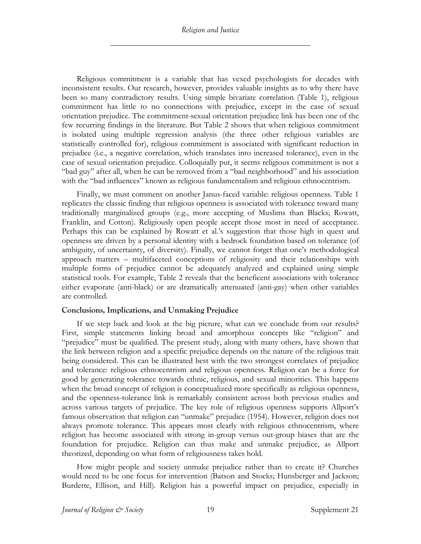Religious commitment is a variable that has vexed psychologists for decades with inconsistent results. Our research, however, provides valuable insights as to why there have been so many contradictory results. Using simple bivariate correlation (Table 1), religious commitment has little to no connections with prejudice, except in the case of sexual orientation prejudice. The commitment-sexual orientation prejudice link has been one of the few recurring findings in the literature. But Table 2 shows that when religious commitment is isolated using multiple regression analysis (the three other religious variables are statistically controlled for), religious commitment is associated with significant reduction in prejudice (i.e., a negative correlation, which translates into increased tolerance), even in the case of sexual orientation prejudice. Colloquially put, it seems religious commitment is not a "bad guy" after all, when he can be removed from a "bad neighborhood" and his association with the "bad influences" known as religious fundamentalism and religious ethnocentrism.

Finally, we must comment on another Janus-faced variable: religious openness. Table 1 replicates the classic finding that religious openness is associated with tolerance toward many traditionally marginalized groups (e.g., more accepting of Muslims than Blacks; Rowatt, Franklin, and Cotton). Religiously open people accept those most in need of acceptance. Perhaps this can be explained by Rowatt et al.'s suggestion that those high in quest and openness are driven by a personal identity with a bedrock foundation based on tolerance (of ambiguity, of uncertainty, of diversity). Finally, we cannot forget that one's methodological approach matters – multifaceted conceptions of religiosity and their relationships with multiple forms of prejudice cannot be adequately analyzed and explained using simple statistical tools. For example, Table 2 reveals that the beneficent associations with tolerance either evaporate (anti-black) or are dramatically attenuated (anti-gay) when other variables are controlled.

## **Conclusions, Implications, and Unmaking Prejudice**

If we step back and look at the big picture, what can we conclude from our results? First, simple statements linking broad and amorphous concepts like "religion" and "prejudice" must be qualified. The present study, along with many others, have shown that the link between religion and a specific prejudice depends on the nature of the religious trait being considered. This can be illustrated best with the two strongest correlates of prejudice and tolerance: religious ethnocentrism and religious openness. Religion can be a force for good by generating tolerance towards ethnic, religious, and sexual minorities. This happens when the broad concept of religion is conceptualized more specifically as religious openness, and the openness-tolerance link is remarkably consistent across both previous studies and across various targets of prejudice. The key role of religious openness supports Allport's famous observation that religion can "unmake" prejudice (1954). However, religion does not always promote tolerance. This appears most clearly with religious ethnocentrism, where religion has become associated with strong in-group versus out-group biases that are the foundation for prejudice. Religion can thus make and unmake prejudice, as Allport theorized, depending on what form of religiousness takes hold.

How might people and society unmake prejudice rather than to create it? Churches would need to be one focus for intervention (Batson and Stocks; Hunsberger and Jackson; Burdette, Ellison, and Hill). Religion has a powerful impact on prejudice, especially in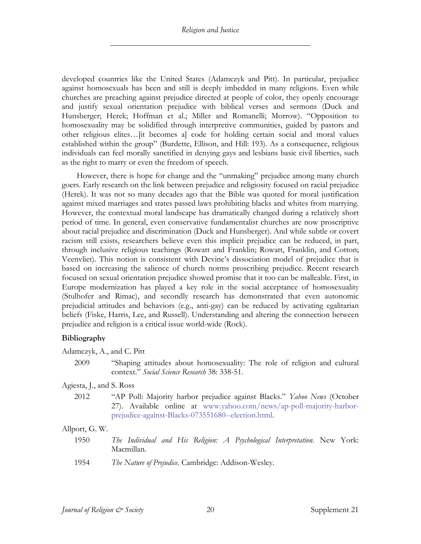developed countries like the United States (Adamczyk and Pitt). In particular, prejudice against homosexuals has been and still is deeply imbedded in many religions. Even while churches are preaching against prejudice directed at people of color, they openly encourage and justify sexual orientation prejudice with biblical verses and sermons (Duck and Hunsberger; Herek; Hoffman et al.; Miller and Romanelli; Morrow). "Opposition to homosexuality may be solidified through interpretive communities, guided by pastors and other religious elites…[it becomes a] code for holding certain social and moral values established within the group" (Burdette, Ellison, and Hill: 193). As a consequence, religious individuals can feel morally sanctified in denying gays and lesbians basic civil liberties, such as the right to marry or even the freedom of speech.

However, there is hope for change and the "unmaking" prejudice among many church goers. Early research on the link between prejudice and religiosity focused on racial prejudice (Herek). It was not so many decades ago that the Bible was quoted for moral justification against mixed marriages and states passed laws prohibiting blacks and whites from marrying. However, the contextual moral landscape has dramatically changed during a relatively short period of time. In general, even conservative fundamentalist churches are now proscriptive about racial prejudice and discrimination (Duck and Hunsberger). And while subtle or covert racism still exists, researchers believe even this implicit prejudice can be reduced, in part, through inclusive religious teachings (Rowatt and Franklin; Rowatt, Franklin, and Cotton; Veenvliet). This notion is consistent with Devine's dissociation model of prejudice that is based on increasing the salience of church norms proscribing prejudice. Recent research focused on sexual orientation prejudice showed promise that it too can be malleable. First, in Europe modernization has played a key role in the social acceptance of homosexuality (Stulhofer and Rimac), and secondly research has demonstrated that even autonomic prejudicial attitudes and behaviors (e.g., anti-gay) can be reduced by activating egalitarian beliefs (Fiske, Harris, Lee, and Russell). Understanding and altering the connection between prejudice and religion is a critical issue world-wide (Rock).

# **Bibliography**

Adamczyk, A., and C. Pitt

2009 "Shaping attitudes about homosexuality: The role of religion and cultural context." *Social Science Research* 38: 338-51.

Agiesta, J., and S. Ross

2012 "AP Poll: Majority harbor prejudice against Blacks." *Yahoo News* (October 27). Available online at www.yahoo.com/news/ap-poll-majority-harborprejudice-against-Blacks-073551680--election.html.

## Allport, G. W.

- 1950 *The Individual and His Religion: A Psychological Interpretation*. New York: Macmillan.
- 1954 *The Nature of Prejudice*. Cambridge: Addison-Wesley.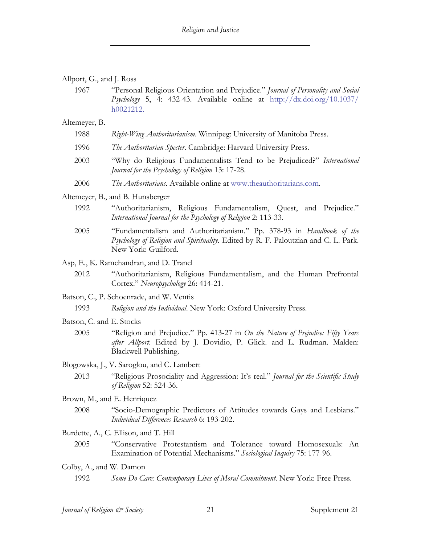| Allport, G., and J. Ross |  |  |  |  |
|--------------------------|--|--|--|--|
|--------------------------|--|--|--|--|

1967 "Personal Religious Orientation and Prejudice." *Journal of Personality and Social Psychology* 5, 4: 432-43. Available online at http://dx.doi.org/10.1037/ h0021212.

Altemeyer, B.

| 1988 |  |  | Right-Wing Authoritarianism. Winnipeg: University of Manitoba Press. |
|------|--|--|----------------------------------------------------------------------|
|      |  |  |                                                                      |

- 1996 *The Authoritarian Specter*. Cambridge: Harvard University Press.
- 2003 "Why do Religious Fundamentalists Tend to be Prejudiced?" *International Journal for the Psychology of Religion* 13: 17-28.
- 2006 *The Authoritarians*. Available online at www.theauthoritarians.com.

Altemeyer, B., and B. Hunsberger

- 1992 "Authoritarianism, Religious Fundamentalism, Quest, and Prejudice." *International Journal for the Psychology of Religion* 2: 113-33.
- 2005 "Fundamentalism and Authoritarianism." Pp. 378-93 in *Handbook of the Psychology of Religion and Spirituality*. Edited by R. F. Paloutzian and C. L. Park. New York: Guilford.

Asp, E., K. Ramchandran, and D. Tranel

- 2012 "Authoritarianism, Religious Fundamentalism, and the Human Prefrontal Cortex." *Neuropsychology* 26: 414-21.
- Batson, C., P. Schoenrade, and W. Ventis
	- 1993 *Religion and the Individual*. New York: Oxford University Press.
- Batson, C. and E. Stocks
	- 2005 "Religion and Prejudice." Pp. 413-27 in *On the Nature of Prejudice: Fifty Years after Allport*. Edited by J. Dovidio, P. Glick. and L. Rudman. Malden: Blackwell Publishing.

Blogowska, J., V. Saroglou, and C. Lambert

- 2013 "Religious Prosociality and Aggression: It's real." *Journal for the Scientific Study of Religion* 52: 524-36.
- Brown, M., and E. Henriquez
	- 2008 "Socio-Demographic Predictors of Attitudes towards Gays and Lesbians." *Individual Differences Research* 6: 193-202.
- Burdette, A., C. Ellison, and T. Hill
	- 2005 "Conservative Protestantism and Tolerance toward Homosexuals: An Examination of Potential Mechanisms." *Sociological Inquiry* 75: 177-96.
- Colby, A., and W. Damon
	- 1992 *Some Do Care: Contemporary Lives of Moral Commitment*. New York: Free Press.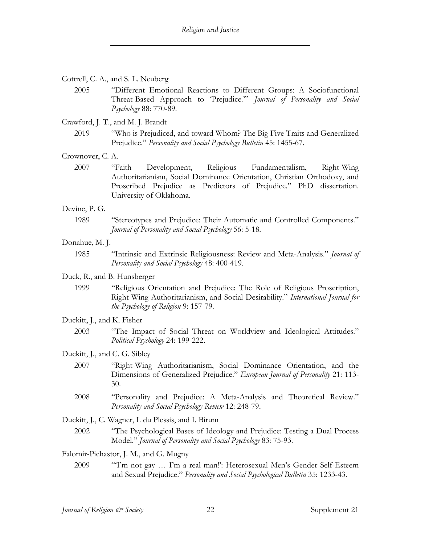## Cottrell, C. A., and S. L. Neuberg

2005 "Different Emotional Reactions to Different Groups: A Sociofunctional Threat-Based Approach to 'Prejudice.'" *Journal of Personality and Social Psychology* 88: 770-89.

## Crawford, J. T., and M. J. Brandt

2019 "Who is Prejudiced, and toward Whom? The Big Five Traits and Generalized Prejudice." *Personality and Social Psychology Bulletin* 45: 1455-67.

#### Crownover, C. A.

2007 "Faith Development, Religious Fundamentalism, Right-Wing Authoritarianism, Social Dominance Orientation, Christian Orthodoxy, and Proscribed Prejudice as Predictors of Prejudice." PhD dissertation. University of Oklahoma.

#### Devine, P. G.

1989 "Stereotypes and Prejudice: Their Automatic and Controlled Components." *Journal of Personality and Social Psychology* 56: 5-18.

#### Donahue, M. J.

1985 "Intrinsic and Extrinsic Religiousness: Review and Meta-Analysis." *Journal of Personality and Social Psychology* 48: 400-419.

#### Duck, R., and B. Hunsberger

1999 "Religious Orientation and Prejudice: The Role of Religious Proscription, Right-Wing Authoritarianism, and Social Desirability." *International Journal for the Psychology of Religion* 9: 157-79.

#### Duckitt, J., and K. Fisher

2003 "The Impact of Social Threat on Worldview and Ideological Attitudes." *Political Psychology* 24: 199-222.

#### Duckitt, J., and C. G. Sibley

- 2007 "Right-Wing Authoritarianism, Social Dominance Orientation, and the Dimensions of Generalized Prejudice." *European Journal of Personality* 21: 113- 30.
- 2008 "Personality and Prejudice: A Meta-Analysis and Theoretical Review." *Personality and Social Psychology Review* 12: 248-79.

Duckitt, J., C. Wagner, I. du Plessis, and I. Birum

2002 "The Psychological Bases of Ideology and Prejudice: Testing a Dual Process Model." *Journal of Personality and Social Psychology* 83: 75-93.

#### Falomir-Pichastor, J. M., and G. Mugny

2009 "'I'm not gay … I'm a real man!': Heterosexual Men's Gender Self-Esteem and Sexual Prejudice." *Personality and Social Psychological Bulletin* 35: 1233-43.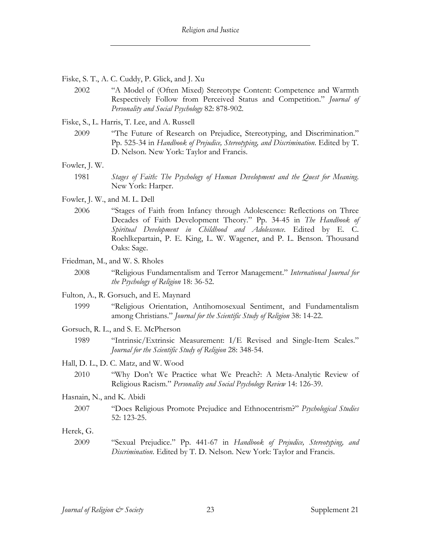- Fiske, S. T., A. C. Cuddy, P. Glick, and J. Xu
	- 2002 "A Model of (Often Mixed) Stereotype Content: Competence and Warmth Respectively Follow from Perceived Status and Competition." *Journal of Personality and Social Psychology* 82: 878-902.

Fiske, S., L. Harris, T. Lee, and A. Russell

- 2009 "The Future of Research on Prejudice, Stereotyping, and Discrimination." Pp. 525-34 in *Handbook of Prejudice, Stereotyping, and Discrimination*. Edited by T. D. Nelson. New York: Taylor and Francis.
- Fowler, J. W.
	- 1981 *Stages of Faith: The Psychology of Human Development and the Quest for Meaning*. New York: Harper.
- Fowler, J. W., and M. L. Dell
	- 2006 "Stages of Faith from Infancy through Adolescence: Reflections on Three Decades of Faith Development Theory." Pp. 34-45 in *The Handbook of Spiritual Development in Childhood and Adolescence*. Edited by E. C. Roehlkepartain, P. E. King, L. W. Wagener, and P. L. Benson. Thousand Oaks: Sage.
- Friedman, M., and W. S. Rholes
	- 2008 "Religious Fundamentalism and Terror Management." *International Journal for the Psychology of Religion* 18: 36-52.
- Fulton, A., R. Gorsuch, and E. Maynard
	- 1999 "Religious Orientation, Antihomosexual Sentiment, and Fundamentalism among Christians." *Journal for the Scientific Study of Religion* 38: 14-22.
- Gorsuch, R. L., and S. E. McPherson
	- 1989 "Intrinsic/Extrinsic Measurement: I/E Revised and Single-Item Scales." *Journal for the Scientific Study of Religion* 28: 348-54.
- Hall, D. L., D. C. Matz, and W. Wood
	- 2010 "Why Don't We Practice what We Preach?: A Meta-Analytic Review of Religious Racism." *Personality and Social Psychology Review* 14: 126-39.

## Hasnain, N., and K. Abidi

2007 "Does Religious Promote Prejudice and Ethnocentrism?" *Psychological Studies* 52: 123-25.

## Herek, G.

2009 "Sexual Prejudice." Pp. 441-67 in *Handbook of Prejudice, Stereotyping, and Discrimination*. Edited by T. D. Nelson. New York: Taylor and Francis.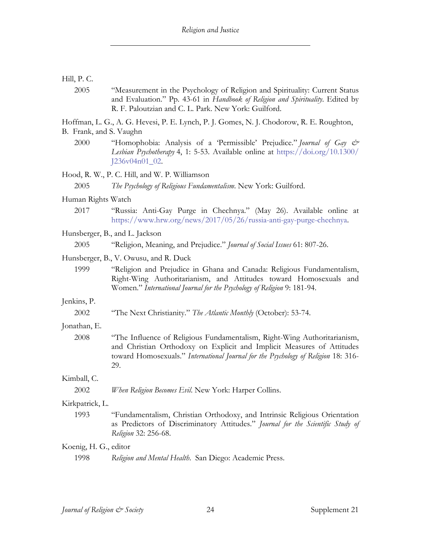# Hill, P. C.

2005 "Measurement in the Psychology of Religion and Spirituality: Current Status and Evaluation." Pp. 43-61 in *Handbook of Religion and Spirituality*. Edited by R. F. Paloutzian and C. L. Park. New York: Guilford.

Hoffman, L. G., A. G. Hevesi, P. E. Lynch, P. J. Gomes, N. J. Chodorow, R. E. Roughton, B. Frank, and S. Vaughn

2000 "Homophobia: Analysis of a 'Permissible' Prejudice." *Journal of Gay & Lesbian Psychotherapy* 4, 1: 5-53. Available online at https://doi.org/10.1300/ J236v04n01\_02.

Hood, R. W., P. C. Hill, and W. P. Williamson

- Human Rights Watch
	- 2017 "Russia: Anti-Gay Purge in Chechnya." (May 26). Available online at https://www.hrw.org/news/2017/05/26/russia-anti-gay-purge-chechnya.

## Hunsberger, B., and L. Jackson

2005 "Religion, Meaning, and Prejudice." *Journal of Social Issues* 61: 807-26.

## Hunsberger, B., V. Owusu, and R. Duck

1999 "Religion and Prejudice in Ghana and Canada: Religious Fundamentalism, Right-Wing Authoritarianism, and Attitudes toward Homosexuals and Women." *International Journal for the Psychology of Religion* 9: 181-94.

# Jenkins, P.

2002 "The Next Christianity." *The Atlantic Monthly* (October): 53-74.

# Jonathan, E.

2008 "The Influence of Religious Fundamentalism, Right-Wing Authoritarianism, and Christian Orthodoxy on Explicit and Implicit Measures of Attitudes toward Homosexuals." *International Journal for the Psychology of Religion* 18: 316- 29.

# Kimball, C.

2002 *When Religion Becomes Evil*. New York: Harper Collins.

# Kirkpatrick, L.

1993 "Fundamentalism, Christian Orthodoxy, and Intrinsic Religious Orientation as Predictors of Discriminatory Attitudes." *Journal for the Scientific Study of Religion* 32: 256-68.

# Koenig, H. G., editor

1998 *Religion and Mental Health*. San Diego: Academic Press.

<sup>2005</sup> *The Psychology of Religious Fundamentalism*. New York: Guilford.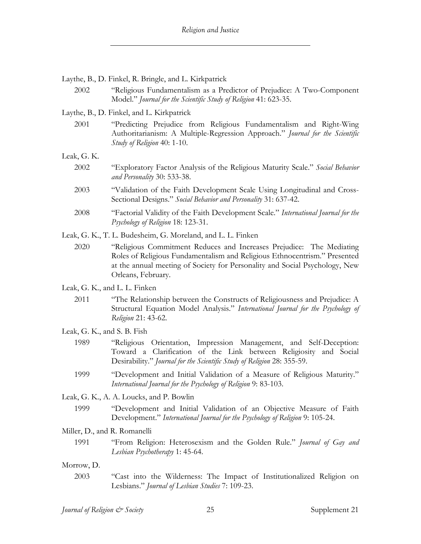- Laythe, B., D. Finkel, R. Bringle, and L. Kirkpatrick
	- 2002 "Religious Fundamentalism as a Predictor of Prejudice: A Two-Component Model." *Journal for the Scientific Study of Religion* 41: 623-35.

## Laythe, B., D. Finkel, and L. Kirkpatrick

2001 "Predicting Prejudice from Religious Fundamentalism and Right-Wing Authoritarianism: A Multiple-Regression Approach." *Journal for the Scientific Study of Religion* 40: 1-10.

Leak, G. K.

- 2002 "Exploratory Factor Analysis of the Religious Maturity Scale." *Social Behavior and Personality* 30: 533-38.
- 2003 "Validation of the Faith Development Scale Using Longitudinal and Cross-Sectional Designs." *Social Behavior and Personality* 31: 637-42.
- 2008 "Factorial Validity of the Faith Development Scale." *International Journal for the Psychology of Religion* 18: 123-31.

Leak, G. K., T. L. Budesheim, G. Moreland, and L. L. Finken

- 2020 "Religious Commitment Reduces and Increases Prejudice: The Mediating Roles of Religious Fundamentalism and Religious Ethnocentrism." Presented at the annual meeting of Society for Personality and Social Psychology, New Orleans, February.
- Leak, G. K., and L. L. Finken
	- 2011 "The Relationship between the Constructs of Religiousness and Prejudice: A Structural Equation Model Analysis." *International Journal for the Psychology of Religion* 21: 43-62.
- Leak, G. K., and S. B. Fish
	- 1989 "Religious Orientation, Impression Management, and Self-Deception: Toward a Clarification of the Link between Religiosity and Social Desirability." *Journal for the Scientific Study of Religion* 28: 355-59.
	- 1999 "Development and Initial Validation of a Measure of Religious Maturity." *International Journal for the Psychology of Religion* 9: 83-103.

Leak, G. K., A. A. Loucks, and P. Bowlin

1999 "Development and Initial Validation of an Objective Measure of Faith Development." *International Journal for the Psychology of Religion* 9: 105-24.

#### Miller, D., and R. Romanelli

1991 "From Religion: Heterosexism and the Golden Rule." *Journal of Gay and Lesbian Psychotherapy* 1: 45-64.

#### Morrow, D.

2003 "Cast into the Wilderness: The Impact of Institutionalized Religion on Lesbians." *Journal of Lesbian Studies* 7: 109-23.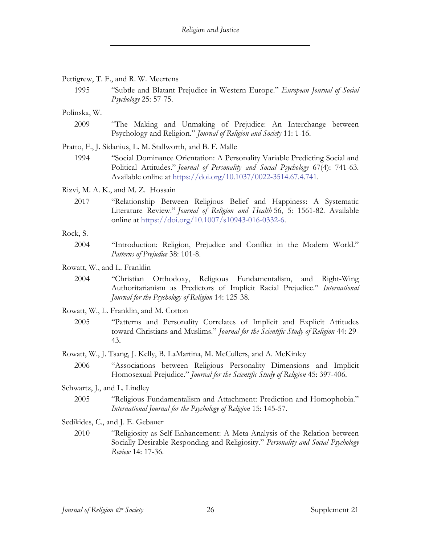#### Pettigrew, T. F., and R. W. Meertens

1995 "Subtle and Blatant Prejudice in Western Europe." *European Journal of Social Psychology* 25: 57-75.

Polinska, W.

2009 "The Making and Unmaking of Prejudice: An Interchange between Psychology and Religion." *Journal of Religion and Society* 11: 1-16.

Pratto, F., J. Sidanius, L. M. Stallworth, and B. F. Malle

1994 "Social Dominance Orientation: A Personality Variable Predicting Social and Political Attitudes." *Journal of Personality and Social Psychology* 67(4): 741-63. Available online at https://doi.org/10.1037/0022-3514.67.4.741.

Rizvi, M. A. K., and M. Z. Hossain

2017 "Relationship Between Religious Belief and Happiness: A Systematic Literature Review." *Journal of Religion and Health* 56, 5: 1561-82. Available online at https://doi.org/10.1007/s10943-016-0332-6.

#### Rock, S.

2004 "Introduction: Religion, Prejudice and Conflict in the Modern World." *Patterns of Prejudice* 38: 101-8.

Rowatt, W., and L. Franklin

- 2004 "Christian Orthodoxy, Religious Fundamentalism, and Right-Wing Authoritarianism as Predictors of Implicit Racial Prejudice." *International Journal for the Psychology of Religion* 14: 125-38.
- Rowatt, W., L. Franklin, and M. Cotton
	- 2005 "Patterns and Personality Correlates of Implicit and Explicit Attitudes toward Christians and Muslims." *Journal for the Scientific Study of Religion* 44: 29- 43.
- Rowatt, W., J. Tsang, J. Kelly, B. LaMartina, M. McCullers, and A. McKinley
	- 2006 "Associations between Religious Personality Dimensions and Implicit Homosexual Prejudice." *Journal for the Scientific Study of Religion* 45: 397-406.
- Schwartz, J., and L. Lindley
	- 2005 "Religious Fundamentalism and Attachment: Prediction and Homophobia." *International Journal for the Psychology of Religion* 15: 145-57.

Sedikides, C., and J. E. Gebauer

2010 "Religiosity as Self-Enhancement: A Meta-Analysis of the Relation between Socially Desirable Responding and Religiosity." *Personality and Social Psychology Review* 14: 17-36.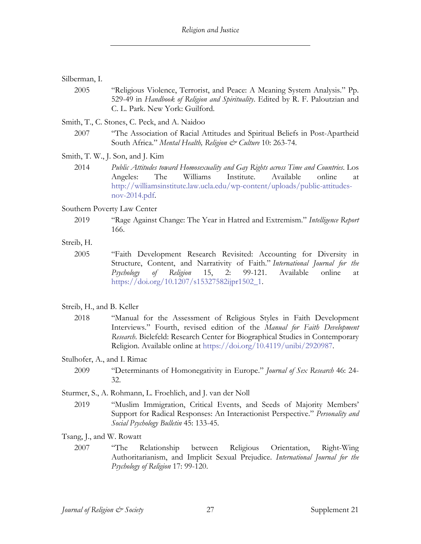### Silberman, I.

2005 "Religious Violence, Terrorist, and Peace: A Meaning System Analysis." Pp. 529-49 in *Handbook of Religion and Spirituality*. Edited by R. F. Paloutzian and C. L. Park. New York: Guilford.

Smith, T., C. Stones, C. Peck, and A. Naidoo

- 2007 "The Association of Racial Attitudes and Spiritual Beliefs in Post-Apartheid South Africa." *Mental Health, Religion & Culture* 10: 263-74.
- Smith, T. W., J. Son, and J. Kim
	- 2014 *Public Attitudes toward Homosexuality and Gay Rights across Time and Countries*. Los Angeles: The Williams Institute. Available online at http://williamsinstitute.law.ucla.edu/wp-content/uploads/public-attitudesnov-2014.pdf.

#### Southern Poverty Law Center

2019 "Rage Against Change: The Year in Hatred and Extremism." *Intelligence Report* 166.

#### Streib, H.

2005 "Faith Development Research Revisited: Accounting for Diversity in Structure, Content, and Narrativity of Faith." *International Journal for the Psychology of Religion* 15, 2: 99-121. Available online at https://doi.org/10.1207/s15327582ijpr1502\_1.

### Streib, H., and B. Keller

2018 "Manual for the Assessment of Religious Styles in Faith Development Interviews." Fourth, revised edition of the *Manual for Faith Development Research*. Bielefeld: Research Center for Biographical Studies in Contemporary Religion. Available online at https://doi.org/10.4119/unibi/2920987.

#### Stulhofer, A., and I. Rimac

- 2009 "Determinants of Homonegativity in Europe." *Journal of Sex Research* 46: 24- 32.
- Sturmer, S., A. Rohmann, L. Froehlich, and J. van der Noll
	- 2019 "Muslim Immigration, Critical Events, and Seeds of Majority Members' Support for Radical Responses: An Interactionist Perspective." *Personality and Social Psychology Bulletin* 45: 133-45.

Tsang, J., and W. Rowatt

2007 "The Relationship between Religious Orientation, Right-Wing Authoritarianism, and Implicit Sexual Prejudice. *International Journal for the Psychology of Religion* 17: 99-120.